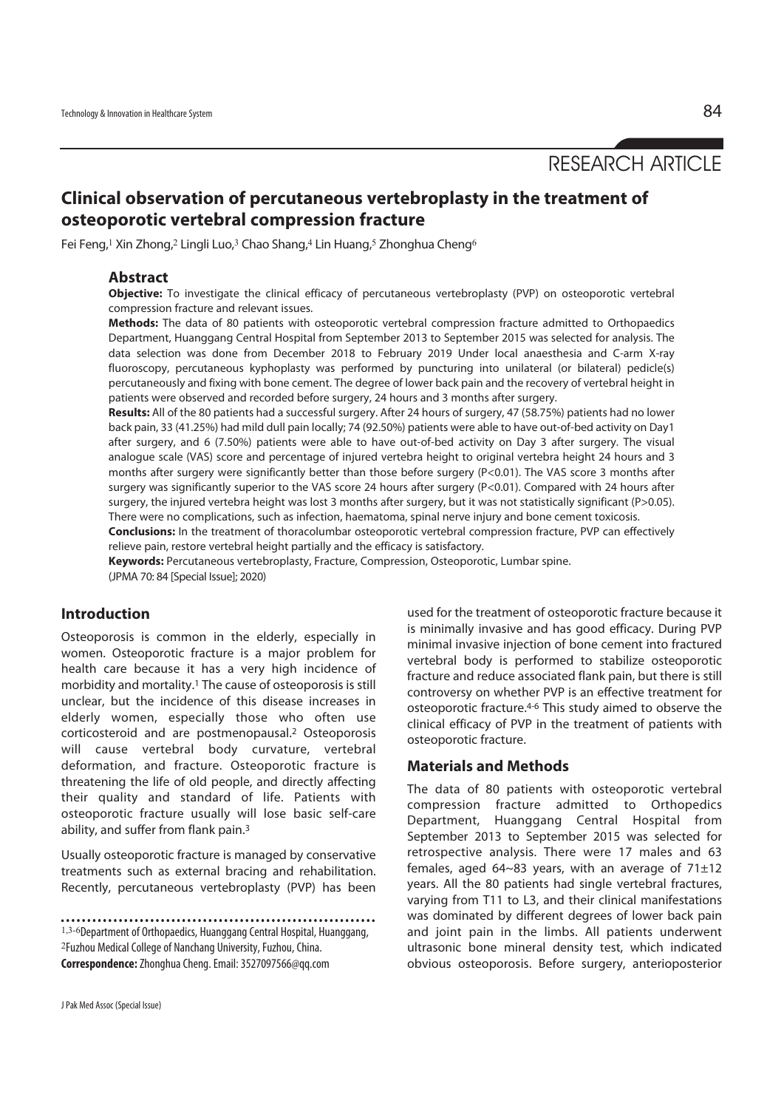RESEARCH ARTICLE

# **Clinical observation of percutaneous vertebroplasty in the treatment of osteoporotic vertebral compression fracture**

Fei Feng,<sup>1</sup> Xin Zhong,<sup>2</sup> Lingli Luo,<sup>3</sup> Chao Shang,<sup>4</sup> Lin Huang,<sup>5</sup> Zhonghua Cheng<sup>6</sup>

#### **Abstract**

**Objective:** To investigate the clinical efficacy of percutaneous vertebroplasty (PVP) on osteoporotic vertebral compression fracture and relevant issues.

**Methods:** The data of 80 patients with osteoporotic vertebral compression fracture admitted to Orthopaedics Department, Huanggang Central Hospital from September 2013 to September 2015 was selected for analysis. The data selection was done from December 2018 to February 2019 Under local anaesthesia and C-arm X-ray fluoroscopy, percutaneous kyphoplasty was performed by puncturing into unilateral (or bilateral) pedicle(s) percutaneously and fixing with bone cement. The degree of lower back pain and the recovery of vertebral height in patients were observed and recorded before surgery, 24 hours and 3 months after surgery.

**Results:** All of the 80 patients had a successful surgery. After 24 hours of surgery, 47 (58.75%) patients had no lower back pain, 33 (41.25%) had mild dull pain locally; 74 (92.50%) patients were able to have out-of-bed activity on Day1 after surgery, and 6 (7.50%) patients were able to have out-of-bed activity on Day 3 after surgery. The visual analogue scale (VAS) score and percentage of injured vertebra height to original vertebra height 24 hours and 3 months after surgery were significantly better than those before surgery (P<0.01). The VAS score 3 months after surgery was significantly superior to the VAS score 24 hours after surgery (P<0.01). Compared with 24 hours after surgery, the injured vertebra height was lost 3 months after surgery, but it was not statistically significant (P>0.05). There were no complications, such as infection, haematoma, spinal nerve injury and bone cement toxicosis.

**Conclusions:** In the treatment of thoracolumbar osteoporotic vertebral compression fracture, PVP can effectively relieve pain, restore vertebral height partially and the efficacy is satisfactory.

**Keywords:** Percutaneous vertebroplasty, Fracture, Compression, Osteoporotic, Lumbar spine. (JPMA 70: 84 [Special Issue]; 2020)

## **Introduction**

Osteoporosis is common in the elderly, especially in women. Osteoporotic fracture is a major problem for health care because it has a very high incidence of morbidity and mortality.1 The cause of osteoporosis is still unclear, but the incidence of this disease increases in elderly women, especially those who often use corticosteroid and are postmenopausal.2 Osteoporosis will cause vertebral body curvature, vertebral deformation, and fracture. Osteoporotic fracture is threatening the life of old people, and directly affecting their quality and standard of life. Patients with osteoporotic fracture usually will lose basic self-care ability, and suffer from flank pain.3

Usually osteoporotic fracture is managed by conservative treatments such as external bracing and rehabilitation. Recently, percutaneous vertebroplasty (PVP) has been

1,3-6Department of Orthopaedics, Huanggang Central Hospital, Huanggang, <sup>2</sup>Fuzhou Medical College of Nanchang University, Fuzhou, China. **Correspondence:** Zhonghua Cheng. Email: 3527097566@qq.com

used for the treatment of osteoporotic fracture because it is minimally invasive and has good efficacy. During PVP minimal invasive injection of bone cement into fractured vertebral body is performed to stabilize osteoporotic fracture and reduce associated flank pain, but there is still controversy on whether PVP is an effective treatment for osteoporotic fracture.4-6 This study aimed to observe the clinical efficacy of PVP in the treatment of patients with osteoporotic fracture.

#### **Materials and Methods**

The data of 80 patients with osteoporotic vertebral compression fracture admitted to Orthopedics Department, Huanggang Central Hospital from September 2013 to September 2015 was selected for retrospective analysis. There were 17 males and 63 females, aged  $64~83$  years, with an average of  $71 \pm 12$ years. All the 80 patients had single vertebral fractures, varying from T11 to L3, and their clinical manifestations was dominated by different degrees of lower back pain and joint pain in the limbs. All patients underwent ultrasonic bone mineral density test, which indicated obvious osteoporosis. Before surgery, anterioposterior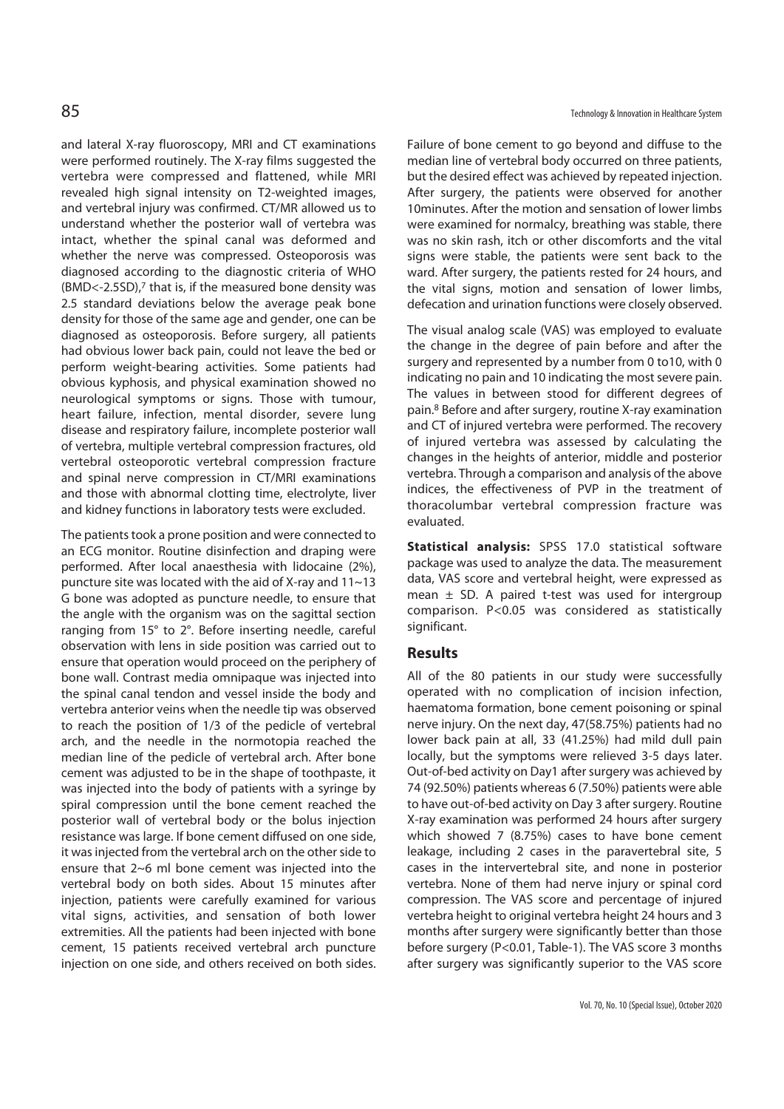and lateral X-ray fluoroscopy, MRI and CT examinations were performed routinely. The X-ray films suggested the vertebra were compressed and flattened, while MRI revealed high signal intensity on T2-weighted images, and vertebral injury was confirmed. CT/MR allowed us to understand whether the posterior wall of vertebra was intact, whether the spinal canal was deformed and whether the nerve was compressed. Osteoporosis was diagnosed according to the diagnostic criteria of WHO (BMD<-2.5SD),7 that is, if the measured bone density was 2.5 standard deviations below the average peak bone density for those of the same age and gender, one can be diagnosed as osteoporosis. Before surgery, all patients had obvious lower back pain, could not leave the bed or perform weight-bearing activities. Some patients had obvious kyphosis, and physical examination showed no neurological symptoms or signs. Those with tumour, heart failure, infection, mental disorder, severe lung disease and respiratory failure, incomplete posterior wall of vertebra, multiple vertebral compression fractures, old vertebral osteoporotic vertebral compression fracture and spinal nerve compression in CT/MRI examinations and those with abnormal clotting time, electrolyte, liver and kidney functions in laboratory tests were excluded.

The patients took a prone position and were connected to an ECG monitor. Routine disinfection and draping were performed. After local anaesthesia with lidocaine (2%), puncture site was located with the aid of X-ray and 11~13 G bone was adopted as puncture needle, to ensure that the angle with the organism was on the sagittal section ranging from 15° to 2°. Before inserting needle, careful observation with lens in side position was carried out to ensure that operation would proceed on the periphery of bone wall. Contrast media omnipaque was injected into the spinal canal tendon and vessel inside the body and vertebra anterior veins when the needle tip was observed to reach the position of 1/3 of the pedicle of vertebral arch, and the needle in the normotopia reached the median line of the pedicle of vertebral arch. After bone cement was adjusted to be in the shape of toothpaste, it was injected into the body of patients with a syringe by spiral compression until the bone cement reached the posterior wall of vertebral body or the bolus injection resistance was large. If bone cement diffused on one side, it was injected from the vertebral arch on the other side to ensure that 2~6 ml bone cement was injected into the vertebral body on both sides. About 15 minutes after injection, patients were carefully examined for various vital signs, activities, and sensation of both lower extremities. All the patients had been injected with bone cement, 15 patients received vertebral arch puncture injection on one side, and others received on both sides. Failure of bone cement to go beyond and diffuse to the median line of vertebral body occurred on three patients, but the desired effect was achieved by repeated injection. After surgery, the patients were observed for another 10minutes. After the motion and sensation of lower limbs were examined for normalcy, breathing was stable, there was no skin rash, itch or other discomforts and the vital signs were stable, the patients were sent back to the ward. After surgery, the patients rested for 24 hours, and the vital signs, motion and sensation of lower limbs, defecation and urination functions were closely observed.

The visual analog scale (VAS) was employed to evaluate the change in the degree of pain before and after the surgery and represented by a number from 0 to10, with 0 indicating no pain and 10 indicating the most severe pain. The values in between stood for different degrees of pain.8 Before and after surgery, routine X-ray examination and CT of injured vertebra were performed. The recovery of injured vertebra was assessed by calculating the changes in the heights of anterior, middle and posterior vertebra. Through a comparison and analysis of the above indices, the effectiveness of PVP in the treatment of thoracolumbar vertebral compression fracture was evaluated.

**Statistical analysis:** SPSS 17.0 statistical software package was used to analyze the data. The measurement data, VAS score and vertebral height, were expressed as mean  $\pm$  SD. A paired t-test was used for intergroup comparison. P<0.05 was considered as statistically significant.

#### **Results**

All of the 80 patients in our study were successfully operated with no complication of incision infection, haematoma formation, bone cement poisoning or spinal nerve injury. On the next day, 47(58.75%) patients had no lower back pain at all, 33 (41.25%) had mild dull pain locally, but the symptoms were relieved 3-5 days later. Out-of-bed activity on Day1 after surgery was achieved by 74 (92.50%) patients whereas 6 (7.50%) patients were able to have out-of-bed activity on Day 3 after surgery. Routine X-ray examination was performed 24 hours after surgery which showed 7 (8.75%) cases to have bone cement leakage, including 2 cases in the paravertebral site, 5 cases in the intervertebral site, and none in posterior vertebra. None of them had nerve injury or spinal cord compression. The VAS score and percentage of injured vertebra height to original vertebra height 24 hours and 3 months after surgery were significantly better than those before surgery (P<0.01, Table-1). The VAS score 3 months after surgery was significantly superior to the VAS score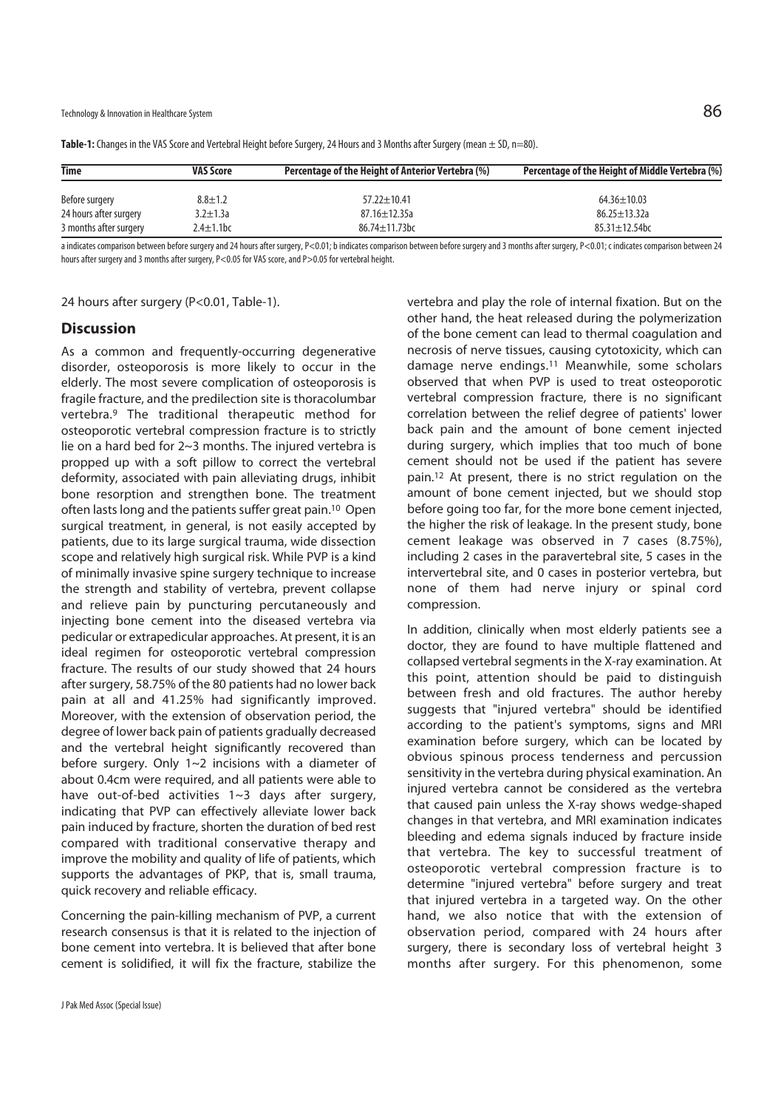Technology & Innovation in Healthcare System  $86$ 

| <b>Time</b>            | <b>VAS Score</b> | <b>Percentage of the Height of Anterior Vertebra (%)</b> | Percentage of the Height of Middle Vertebra (%) |
|------------------------|------------------|----------------------------------------------------------|-------------------------------------------------|
| Before surgery         | $8.8 \pm 1.2$    | $57.22 \pm 10.41$                                        | $64.36 \pm 10.03$                               |
| 24 hours after surgery | $3.2 \pm 1.3a$   | $87.16 \pm 12.35$ a                                      | $86.25 \pm 13.32a$                              |
| 3 months after surgery | $2.4 \pm 1.1$ bc | 86.74±11.73bc                                            | $85.31 \pm 12.54$ bc                            |

**Table-1:** Changes in the VAS Score and Vertebral Height before Surgery, 24 Hours and 3 Months after Surgery (mean ± SD, n=80).

a indicates comparison between before surgery and 24 hours after surgery, P<0.01; b indicates comparison between before surgery and 3 months after surgery, P<0.01; c indicates comparison between 24 hours after surgery and 3 months after surgery, P<0.05 for VAS score, and P>0.05 for vertebral height.

24 hours after surgery (P<0.01, Table-1).

#### **Discussion**

As a common and frequently-occurring degenerative disorder, osteoporosis is more likely to occur in the elderly. The most severe complication of osteoporosis is fragile fracture, and the predilection site is thoracolumbar vertebra.9 The traditional therapeutic method for osteoporotic vertebral compression fracture is to strictly lie on a hard bed for 2~3 months. The injured vertebra is propped up with a soft pillow to correct the vertebral deformity, associated with pain alleviating drugs, inhibit bone resorption and strengthen bone. The treatment often lasts long and the patients suffer great pain.10 Open surgical treatment, in general, is not easily accepted by patients, due to its large surgical trauma, wide dissection scope and relatively high surgical risk. While PVP is a kind of minimally invasive spine surgery technique to increase the strength and stability of vertebra, prevent collapse and relieve pain by puncturing percutaneously and injecting bone cement into the diseased vertebra via pedicular or extrapedicular approaches. At present, it is an ideal regimen for osteoporotic vertebral compression fracture. The results of our study showed that 24 hours after surgery, 58.75% of the 80 patients had no lower back pain at all and 41.25% had significantly improved. Moreover, with the extension of observation period, the degree of lower back pain of patients gradually decreased and the vertebral height significantly recovered than before surgery. Only 1~2 incisions with a diameter of about 0.4cm were required, and all patients were able to have out-of-bed activities 1~3 days after surgery, indicating that PVP can effectively alleviate lower back pain induced by fracture, shorten the duration of bed rest compared with traditional conservative therapy and improve the mobility and quality of life of patients, which supports the advantages of PKP, that is, small trauma, quick recovery and reliable efficacy.

Concerning the pain-killing mechanism of PVP, a current research consensus is that it is related to the injection of bone cement into vertebra. It is believed that after bone cement is solidified, it will fix the fracture, stabilize the

J Pak Med Assoc (Special Issue)

vertebra and play the role of internal fixation. But on the other hand, the heat released during the polymerization of the bone cement can lead to thermal coagulation and necrosis of nerve tissues, causing cytotoxicity, which can damage nerve endings.11 Meanwhile, some scholars observed that when PVP is used to treat osteoporotic vertebral compression fracture, there is no significant correlation between the relief degree of patients' lower back pain and the amount of bone cement injected during surgery, which implies that too much of bone cement should not be used if the patient has severe pain.12 At present, there is no strict regulation on the amount of bone cement injected, but we should stop before going too far, for the more bone cement injected, the higher the risk of leakage. In the present study, bone cement leakage was observed in 7 cases (8.75%), including 2 cases in the paravertebral site, 5 cases in the intervertebral site, and 0 cases in posterior vertebra, but none of them had nerve injury or spinal cord compression.

In addition, clinically when most elderly patients see a doctor, they are found to have multiple flattened and collapsed vertebral segments in the X-ray examination. At this point, attention should be paid to distinguish between fresh and old fractures. The author hereby suggests that "injured vertebra" should be identified according to the patient's symptoms, signs and MRI examination before surgery, which can be located by obvious spinous process tenderness and percussion sensitivity in the vertebra during physical examination. An injured vertebra cannot be considered as the vertebra that caused pain unless the X-ray shows wedge-shaped changes in that vertebra, and MRI examination indicates bleeding and edema signals induced by fracture inside that vertebra. The key to successful treatment of osteoporotic vertebral compression fracture is to determine "injured vertebra" before surgery and treat that injured vertebra in a targeted way. On the other hand, we also notice that with the extension of observation period, compared with 24 hours after surgery, there is secondary loss of vertebral height 3 months after surgery. For this phenomenon, some